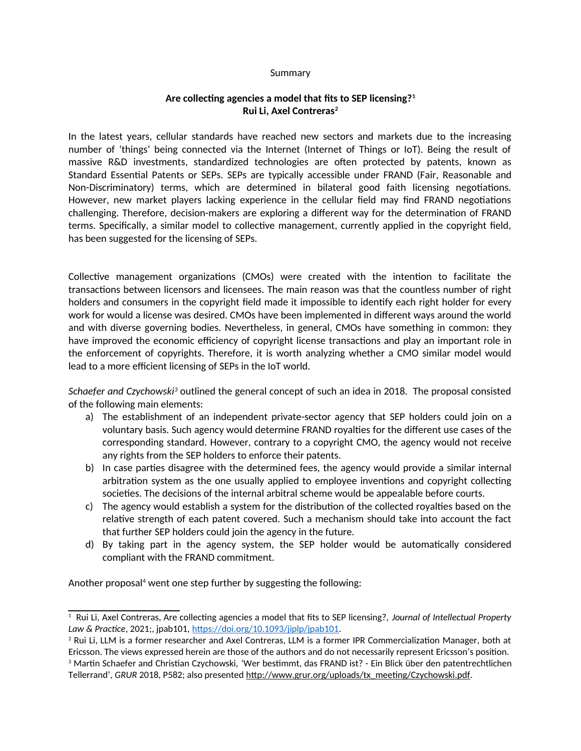## Summary

## **Are collecting agencies a model that fits to SEP licensing?[1](#page-0-0) Rui Li, Axel Contreras[2](#page-0-1)**

In the latest years, cellular standards have reached new sectors and markets due to the increasing number of 'things' being connected via the Internet (Internet of Things or IoT). Being the result of massive R&D investments, standardized technologies are often protected by patents, known as Standard Essential Patents or SEPs. SEPs are typically accessible under FRAND (Fair, Reasonable and Non-Discriminatory) terms, which are determined in bilateral good faith licensing negotiations. However, new market players lacking experience in the cellular field may find FRAND negotiations challenging. Therefore, decision-makers are exploring a different way for the determination of FRAND terms. Specifically, a similar model to collective management, currently applied in the copyright field, has been suggested for the licensing of SEPs.

Collective management organizations (CMOs) were created with the intention to facilitate the transactions between licensors and licensees. The main reason was that the countless number of right holders and consumers in the copyright field made it impossible to identify each right holder for every work for would a license was desired. CMOs have been implemented in different ways around the world and with diverse governing bodies. Nevertheless, in general, CMOs have something in common: they have improved the economic efficiency of copyright license transactions and play an important role in the enforcement of copyrights. Therefore, it is worth analyzing whether a CMO similar model would lead to a more efficient licensing of SEPs in the IoT world.

*Schaefer and Czychowski<sup>[3](#page-0-2)</sup>* outlined the general concept of such an idea in 2018. The proposal consisted of the following main elements:

- a) The establishment of an independent private-sector agency that SEP holders could join on a voluntary basis. Such agency would determine FRAND royalties for the different use cases of the corresponding standard. However, contrary to a copyright CMO, the agency would not receive any rights from the SEP holders to enforce their patents.
- b) In case parties disagree with the determined fees, the agency would provide a similar internal arbitration system as the one usually applied to employee inventions and copyright collecting societies. The decisions of the internal arbitral scheme would be appealable before courts.
- c) The agency would establish a system for the distribution of the collected royalties based on the relative strength of each patent covered. Such a mechanism should take into account the fact that further SEP holders could join the agency in the future.
- d) By taking part in the agency system, the SEP holder would be automatically considered compliant with the FRAND commitment.

Another proposal<sup>4</sup> went one step further by suggesting the following:

<span id="page-0-0"></span><sup>1</sup> Rui Li, Axel Contreras, Are collecting agencies a model that fits to SEP licensing?, *Journal of Intellectual Property Law & Practice*, 2021;, jpab101, [https://doi.org/10.1093/jiplp/jpab101.](https://doi.org/10.1093/jiplp/jpab101)

<span id="page-0-1"></span><sup>2</sup> Rui Li, LLM is a former researcher and Axel Contreras, LLM is a former IPR Commercialization Manager, both at Ericsson. The views expressed herein are those of the authors and do not necessarily represent Ericsson's position.

<span id="page-0-2"></span><sup>3</sup> Martin Schaefer and Christian Czychowski, 'Wer bestimmt, das FRAND ist? - Ein Blick über den patentrechtlichen Tellerrand', *GRUR* 2018, P582; also presented [http://www.grur.org/uploads/tx\\_meeting/Czychowski.pdf.](http://www.grur.org/uploads/tx_meeting/Czychowski.pdf)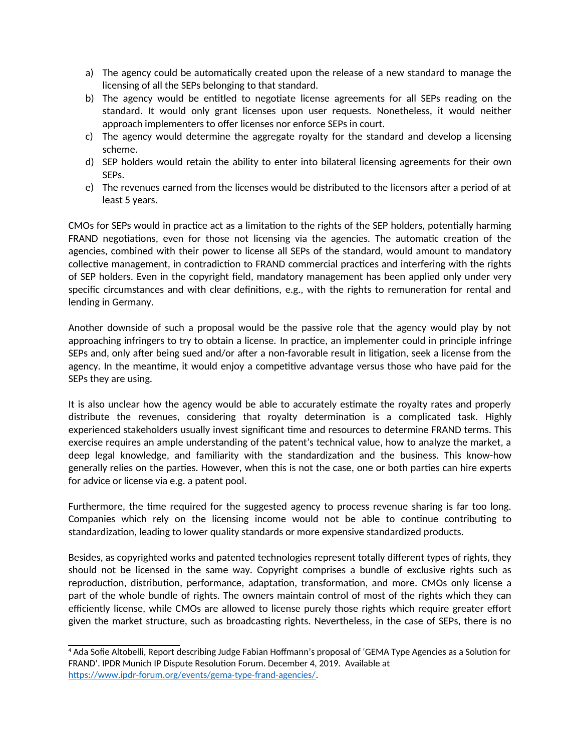- a) The agency could be automatically created upon the release of a new standard to manage the licensing of all the SEPs belonging to that standard.
- b) The agency would be entitled to negotiate license agreements for all SEPs reading on the standard. It would only grant licenses upon user requests. Nonetheless, it would neither approach implementers to offer licenses nor enforce SEPs in court.
- c) The agency would determine the aggregate royalty for the standard and develop a licensing scheme.
- d) SEP holders would retain the ability to enter into bilateral licensing agreements for their own SEPs.
- e) The revenues earned from the licenses would be distributed to the licensors after a period of at least 5 years.

CMOs for SEPs would in practice act as a limitation to the rights of the SEP holders, potentially harming FRAND negotiations, even for those not licensing via the agencies. The automatic creation of the agencies, combined with their power to license all SEPs of the standard, would amount to mandatory collective management, in contradiction to FRAND commercial practices and interfering with the rights of SEP holders. Even in the copyright field, mandatory management has been applied only under very specific circumstances and with clear definitions, e.g., with the rights to remuneration for rental and lending in Germany.

Another downside of such a proposal would be the passive role that the agency would play by not approaching infringers to try to obtain a license. In practice, an implementer could in principle infringe SEPs and, only after being sued and/or after a non-favorable result in litigation, seek a license from the agency. In the meantime, it would enjoy a competitive advantage versus those who have paid for the SEPs they are using.

It is also unclear how the agency would be able to accurately estimate the royalty rates and properly distribute the revenues, considering that royalty determination is a complicated task. Highly experienced stakeholders usually invest significant time and resources to determine FRAND terms. This exercise requires an ample understanding of the patent's technical value, how to analyze the market, a deep legal knowledge, and familiarity with the standardization and the business. This know-how generally relies on the parties. However, when this is not the case, one or both parties can hire experts for advice or license via e.g. a patent pool.

Furthermore, the time required for the suggested agency to process revenue sharing is far too long. Companies which rely on the licensing income would not be able to continue contributing to standardization, leading to lower quality standards or more expensive standardized products.

Besides, as copyrighted works and patented technologies represent totally different types of rights, they should not be licensed in the same way. Copyright comprises a bundle of exclusive rights such as reproduction, distribution, performance, adaptation, transformation, and more. CMOs only license a part of the whole bundle of rights. The owners maintain control of most of the rights which they can efficiently license, while CMOs are allowed to license purely those rights which require greater effort given the market structure, such as broadcasting rights. Nevertheless, in the case of SEPs, there is no

<sup>4</sup> Ada Sofie Altobelli, Report describing Judge Fabian Hoffmann's proposal of 'GEMA Type Agencies as a Solution for FRAND'. IPDR Munich IP Dispute Resolution Forum. December 4, 2019. Available at [https://www.ipdr-forum.org/events/gema-type-frand-agencies/.](https://www.ipdr-forum.org/events/gema-type-frand-agencies/)